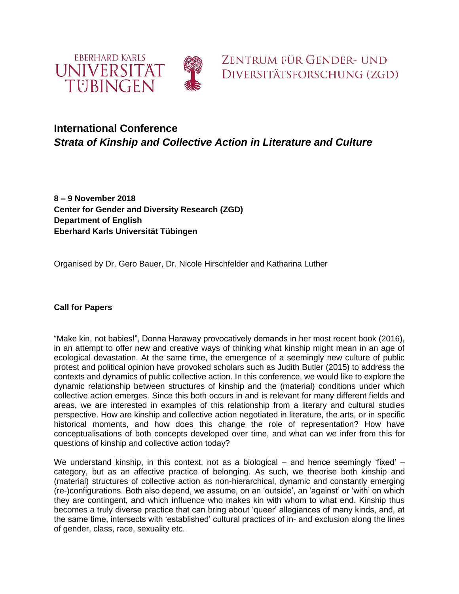



## **International Conference** *Strata of Kinship and Collective Action in Literature and Culture*

**8 – 9 November 2018 Center for Gender and Diversity Research (ZGD) Department of English Eberhard Karls Universität Tübingen**

Organised by Dr. Gero Bauer, Dr. Nicole Hirschfelder and Katharina Luther

## **Call for Papers**

"Make kin, not babies!", Donna Haraway provocatively demands in her most recent book (2016), in an attempt to offer new and creative ways of thinking what kinship might mean in an age of ecological devastation. At the same time, the emergence of a seemingly new culture of public protest and political opinion have provoked scholars such as Judith Butler (2015) to address the contexts and dynamics of public collective action. In this conference, we would like to explore the dynamic relationship between structures of kinship and the (material) conditions under which collective action emerges. Since this both occurs in and is relevant for many different fields and areas, we are interested in examples of this relationship from a literary and cultural studies perspective. How are kinship and collective action negotiated in literature, the arts, or in specific historical moments, and how does this change the role of representation? How have conceptualisations of both concepts developed over time, and what can we infer from this for questions of kinship and collective action today?

We understand kinship, in this context, not as a biological  $-$  and hence seemingly 'fixed'  $$ category, but as an affective practice of belonging. As such, we theorise both kinship and (material) structures of collective action as non-hierarchical, dynamic and constantly emerging (re-)configurations. Both also depend, we assume, on an 'outside', an 'against' or 'with' on which they are contingent, and which influence who makes kin with whom to what end. Kinship thus becomes a truly diverse practice that can bring about 'queer' allegiances of many kinds, and, at the same time, intersects with 'established' cultural practices of in- and exclusion along the lines of gender, class, race, sexuality etc.